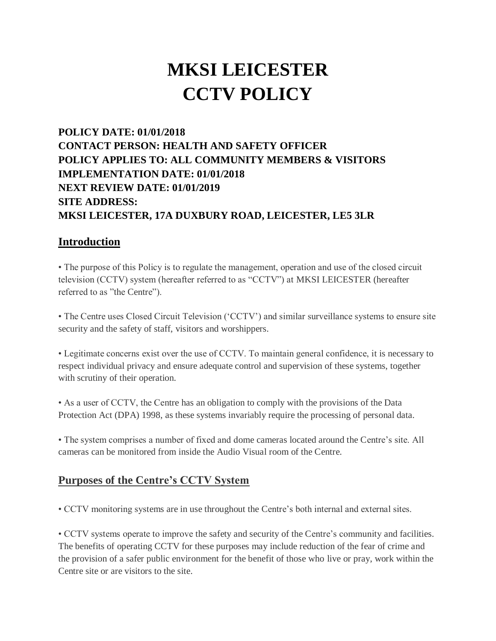# **MKSI LEICESTER CCTV POLICY**

## **POLICY DATE: 01/01/2018 CONTACT PERSON: HEALTH AND SAFETY OFFICER POLICY APPLIES TO: ALL COMMUNITY MEMBERS & VISITORS IMPLEMENTATION DATE: 01/01/2018 NEXT REVIEW DATE: 01/01/2019 SITE ADDRESS: MKSI LEICESTER, 17A DUXBURY ROAD, LEICESTER, LE5 3LR**

#### **Introduction**

• The purpose of this Policy is to regulate the management, operation and use of the closed circuit television (CCTV) system (hereafter referred to as "CCTV") at MKSI LEICESTER (hereafter referred to as "the Centre").

• The Centre uses Closed Circuit Television ('CCTV') and similar surveillance systems to ensure site security and the safety of staff, visitors and worshippers.

• Legitimate concerns exist over the use of CCTV. To maintain general confidence, it is necessary to respect individual privacy and ensure adequate control and supervision of these systems, together with scrutiny of their operation.

• As a user of CCTV, the Centre has an obligation to comply with the provisions of the Data Protection Act (DPA) 1998, as these systems invariably require the processing of personal data.

• The system comprises a number of fixed and dome cameras located around the Centre's site. All cameras can be monitored from inside the Audio Visual room of the Centre.

#### **Purposes of the Centre's CCTV System**

• CCTV monitoring systems are in use throughout the Centre's both internal and external sites.

• CCTV systems operate to improve the safety and security of the Centre's community and facilities. The benefits of operating CCTV for these purposes may include reduction of the fear of crime and the provision of a safer public environment for the benefit of those who live or pray, work within the Centre site or are visitors to the site.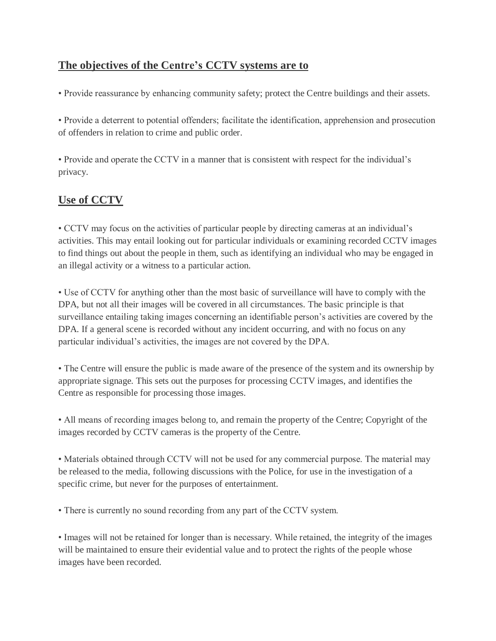## **The objectives of the Centre's CCTV systems are to**

• Provide reassurance by enhancing community safety; protect the Centre buildings and their assets.

• Provide a deterrent to potential offenders; facilitate the identification, apprehension and prosecution of offenders in relation to crime and public order.

• Provide and operate the CCTV in a manner that is consistent with respect for the individual's privacy.

## **Use of CCTV**

• CCTV may focus on the activities of particular people by directing cameras at an individual's activities. This may entail looking out for particular individuals or examining recorded CCTV images to find things out about the people in them, such as identifying an individual who may be engaged in an illegal activity or a witness to a particular action.

• Use of CCTV for anything other than the most basic of surveillance will have to comply with the DPA, but not all their images will be covered in all circumstances. The basic principle is that surveillance entailing taking images concerning an identifiable person's activities are covered by the DPA. If a general scene is recorded without any incident occurring, and with no focus on any particular individual's activities, the images are not covered by the DPA.

• The Centre will ensure the public is made aware of the presence of the system and its ownership by appropriate signage. This sets out the purposes for processing CCTV images, and identifies the Centre as responsible for processing those images.

• All means of recording images belong to, and remain the property of the Centre; Copyright of the images recorded by CCTV cameras is the property of the Centre.

• Materials obtained through CCTV will not be used for any commercial purpose. The material may be released to the media, following discussions with the Police, for use in the investigation of a specific crime, but never for the purposes of entertainment.

• There is currently no sound recording from any part of the CCTV system.

• Images will not be retained for longer than is necessary. While retained, the integrity of the images will be maintained to ensure their evidential value and to protect the rights of the people whose images have been recorded.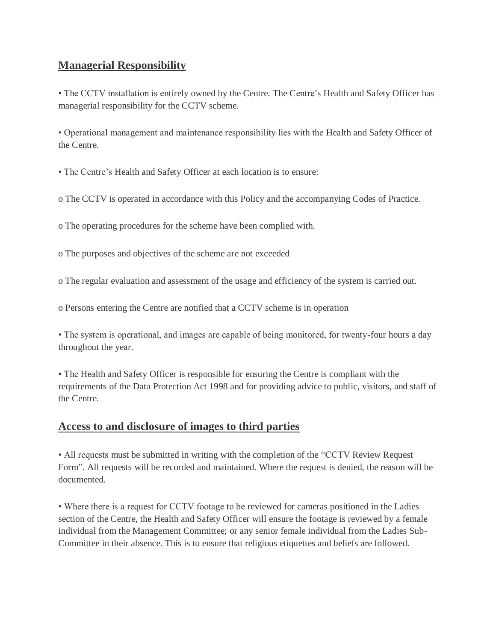## **Managerial Responsibility**

• The CCTV installation is entirely owned by the Centre. The Centre's Health and Safety Officer has managerial responsibility for the CCTV scheme.

• Operational management and maintenance responsibility lies with the Health and Safety Officer of the Centre.

• The Centre's Health and Safety Officer at each location is to ensure:

o The CCTV is operated in accordance with this Policy and the accompanying Codes of Practice.

o The operating procedures for the scheme have been complied with.

o The purposes and objectives of the scheme are not exceeded

o The regular evaluation and assessment of the usage and efficiency of the system is carried out.

o Persons entering the Centre are notified that a CCTV scheme is in operation

• The system is operational, and images are capable of being monitored, for twenty-four hours a day throughout the year.

• The Health and Safety Officer is responsible for ensuring the Centre is compliant with the requirements of the Data Protection Act 1998 and for providing advice to public, visitors, and staff of the Centre.

#### **Access to and disclosure of images to third parties**

• All requests must be submitted in writing with the completion of the "CCTV Review Request Form". All requests will be recorded and maintained. Where the request is denied, the reason will be documented.

• Where there is a request for CCTV footage to be reviewed for cameras positioned in the Ladies section of the Centre, the Health and Safety Officer will ensure the footage is reviewed by a female individual from the Management Committee; or any senior female individual from the Ladies Sub-Committee in their absence. This is to ensure that religious etiquettes and beliefs are followed.